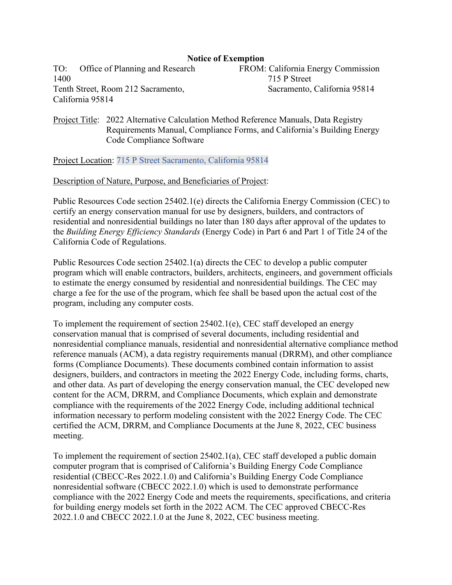## **Notice of Exemption**

TO: Office of Planning and Research 1400 Tenth Street, Room 212 Sacramento, California 95814

FROM: California Energy Commission 715 P Street Sacramento, California 95814

## Project Title: 2022 Alternative Calculation Method Reference Manuals, Data Registry Requirements Manual, Compliance Forms, and California's Building Energy Code Compliance Software

Project Location: 715 P Street Sacramento, California 95814

## Description of Nature, Purpose, and Beneficiaries of Project:

Public Resources Code section 25402.1(e) directs the California Energy Commission (CEC) to certify an energy conservation manual for use by designers, builders, and contractors of residential and nonresidential buildings no later than 180 days after approval of the updates to the *Building Energy Efficiency Standards* (Energy Code) in Part 6 and Part 1 of Title 24 of the California Code of Regulations.

Public Resources Code section 25402.1(a) directs the CEC to develop a public computer program which will enable contractors, builders, architects, engineers, and government officials to estimate the energy consumed by residential and nonresidential buildings. The CEC may charge a fee for the use of the program, which fee shall be based upon the actual cost of the program, including any computer costs.

To implement the requirement of section 25402.1(e), CEC staff developed an energy conservation manual that is comprised of several documents, including residential and nonresidential compliance manuals, residential and nonresidential alternative compliance method reference manuals (ACM), a data registry requirements manual (DRRM), and other compliance forms (Compliance Documents). These documents combined contain information to assist designers, builders, and contractors in meeting the 2022 Energy Code, including forms, charts, and other data. As part of developing the energy conservation manual, the CEC developed new content for the ACM, DRRM, and Compliance Documents, which explain and demonstrate compliance with the requirements of the 2022 Energy Code, including additional technical information necessary to perform modeling consistent with the 2022 Energy Code. The CEC certified the ACM, DRRM, and Compliance Documents at the June 8, 2022, CEC business meeting.

To implement the requirement of section 25402.1(a), CEC staff developed a public domain computer program that is comprised of California's Building Energy Code Compliance residential (CBECC-Res 2022.1.0) and California's Building Energy Code Compliance nonresidential software (CBECC 2022.1.0) which is used to demonstrate performance compliance with the 2022 Energy Code and meets the requirements, specifications, and criteria for building energy models set forth in the 2022 ACM. The CEC approved CBECC-Res 2022.1.0 and CBECC 2022.1.0 at the June 8, 2022, CEC business meeting.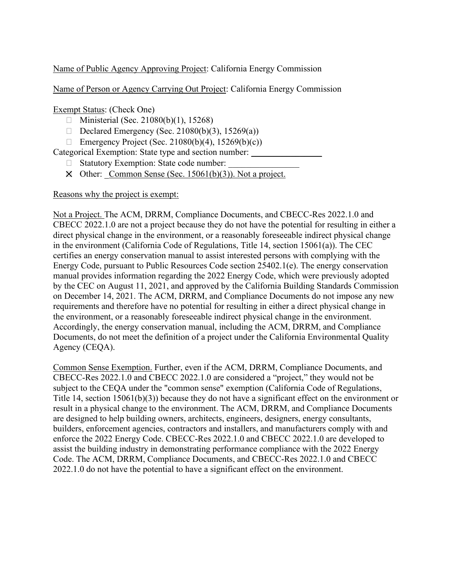Name of Public Agency Approving Project: California Energy Commission

Name of Person or Agency Carrying Out Project: California Energy Commission

Exempt Status: (Check One)

- $\Box$  Ministerial (Sec. 21080(b)(1), 15268)
- Declared Emergency (Sec. 21080(b)(3), 15269(a))
- Emergency Project (Sec. 21080(b)(4), 15269(b)(c))

Categorical Exemption: State type and section number:

- $\Box$  Statutory Exemption: State code number:
- $\boxtimes$  Other: Common Sense (Sec. 15061(b)(3)). Not a project.

Reasons why the project is exempt:

Not a Project. The ACM, DRRM, Compliance Documents, and CBECC-Res 2022.1.0 and CBECC 2022.1.0 are not a project because they do not have the potential for resulting in either a direct physical change in the environment, or a reasonably foreseeable indirect physical change in the environment (California Code of Regulations, Title 14, section 15061(a)). The CEC certifies an energy conservation manual to assist interested persons with complying with the Energy Code, pursuant to Public Resources Code section 25402.1(e). The energy conservation manual provides information regarding the 2022 Energy Code, which were previously adopted by the CEC on August 11, 2021, and approved by the California Building Standards Commission on December 14, 2021. The ACM, DRRM, and Compliance Documents do not impose any new requirements and therefore have no potential for resulting in either a direct physical change in the environment, or a reasonably foreseeable indirect physical change in the environment. Accordingly, the energy conservation manual, including the ACM, DRRM, and Compliance Documents, do not meet the definition of a project under the California Environmental Quality Agency (CEQA).

Common Sense Exemption. Further, even if the ACM, DRRM, Compliance Documents, and CBECC-Res 2022.1.0 and CBECC 2022.1.0 are considered a "project," they would not be subject to the CEQA under the "common sense" exemption (California Code of Regulations, Title 14, section 15061(b)(3)) because they do not have a significant effect on the environment or result in a physical change to the environment. The ACM, DRRM, and Compliance Documents are designed to help building owners, architects, engineers, designers, energy consultants, builders, enforcement agencies, contractors and installers, and manufacturers comply with and enforce the 2022 Energy Code. CBECC-Res 2022.1.0 and CBECC 2022.1.0 are developed to assist the building industry in demonstrating performance compliance with the 2022 Energy Code. The ACM, DRRM, Compliance Documents, and CBECC-Res 2022.1.0 and CBECC 2022.1.0 do not have the potential to have a significant effect on the environment.